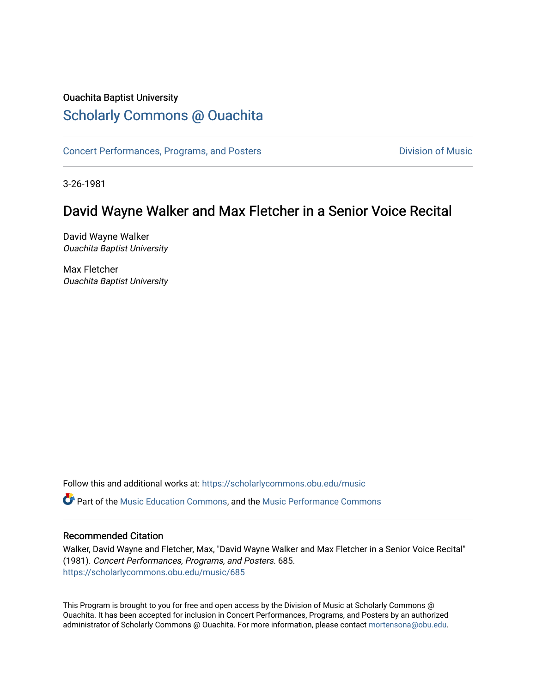#### Ouachita Baptist University

#### [Scholarly Commons @ Ouachita](https://scholarlycommons.obu.edu/)

[Concert Performances, Programs, and Posters](https://scholarlycommons.obu.edu/music) **Division of Music** Division of Music

3-26-1981

### David Wayne Walker and Max Fletcher in a Senior Voice Recital

David Wayne Walker Ouachita Baptist University

Max Fletcher Ouachita Baptist University

Follow this and additional works at: [https://scholarlycommons.obu.edu/music](https://scholarlycommons.obu.edu/music?utm_source=scholarlycommons.obu.edu%2Fmusic%2F685&utm_medium=PDF&utm_campaign=PDFCoverPages) 

Part of the [Music Education Commons,](http://network.bepress.com/hgg/discipline/1246?utm_source=scholarlycommons.obu.edu%2Fmusic%2F685&utm_medium=PDF&utm_campaign=PDFCoverPages) and the [Music Performance Commons](http://network.bepress.com/hgg/discipline/1128?utm_source=scholarlycommons.obu.edu%2Fmusic%2F685&utm_medium=PDF&utm_campaign=PDFCoverPages) 

#### Recommended Citation

Walker, David Wayne and Fletcher, Max, "David Wayne Walker and Max Fletcher in a Senior Voice Recital" (1981). Concert Performances, Programs, and Posters. 685. [https://scholarlycommons.obu.edu/music/685](https://scholarlycommons.obu.edu/music/685?utm_source=scholarlycommons.obu.edu%2Fmusic%2F685&utm_medium=PDF&utm_campaign=PDFCoverPages) 

This Program is brought to you for free and open access by the Division of Music at Scholarly Commons @ Ouachita. It has been accepted for inclusion in Concert Performances, Programs, and Posters by an authorized administrator of Scholarly Commons @ Ouachita. For more information, please contact [mortensona@obu.edu](mailto:mortensona@obu.edu).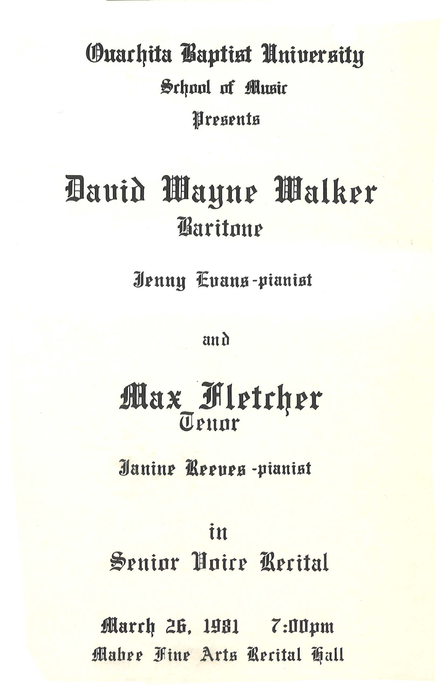# **Ouarhita Baptist University** School of Music Presents

# Bauid Wayne Walker **Baritone**

Jenny Cuang-pianist

and

## Max Fletcher Teunr

Janine Reeues-pianist

### in

Senior Hoire Recital

March 26, 1981 7:00pm Mahee Fine Arts Recital Tall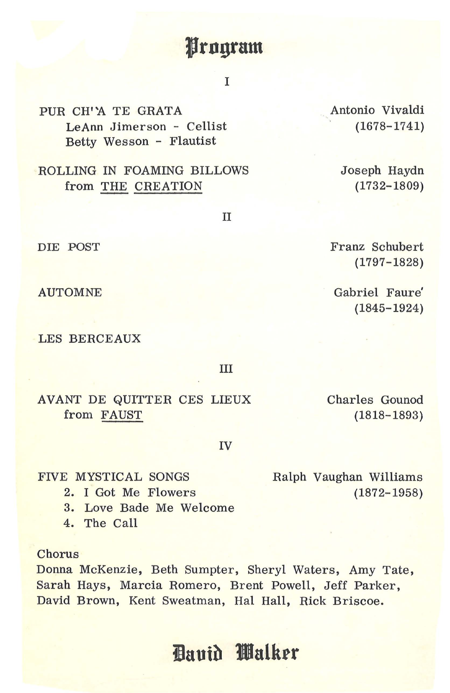### **Jrngram**

I

PUR CH'A TE GRATA LeAnn Jimerson - Cellist Betty Wesson - Flautist

ROLLING IN FOAMING BILLOWS from THE CREATION

II

DIE POST

AUTOMNE

LES BERCEAUX

III

AVANT DE QUITTER CES LIEUX from FAUST

Charles Gounod (1818-1893)

IV

FIVE MYSTICAL SONGS

2. I Got Me Flowers

3. Love Bade Me Welcome

4. The Call

**Chorus** 

Donna McKenzie, Beth Sumpter, Sheryl Waters, Amy Tate, Sarah Hays, Marcia Romero, Brent Powell, Jeff Parker, David Brown, Kent Sweatman, Hal Hall, Rick Briscoe.

### **iauib 1ll!lalkrr**

Ralph Vaughan Williams (1872-1958)

Franz Schubert (1797- 1828)

. Antonio Vivaldi (1678- 1741)

> Joseph Haydn (1732-1809)

Gabriel Faure' (1845- 1924)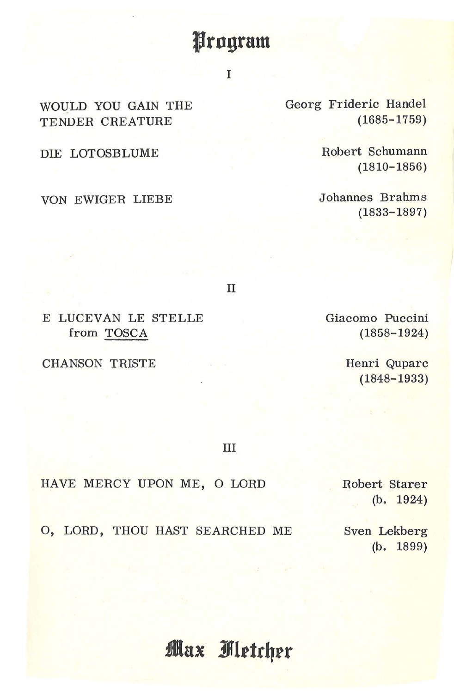### **Jrngram**

#### I

WOULD YOU GAIN THE TENDER CREATURE

DIE LOTOSBLUME

VON EWIGER LIEBE

Georg Frideric Handel (1685-1759)

> Robert Schumann (1810-1856)

Johannes Brahms (1833-1897)

II

E LUCEVAN LE STELLE from TOSCA

CHANSON TRISTE

Giacomo Puccini ( 1858-1924)

> Henri Quparc (1848-1933)

III

HAVE MERCY UPON ME, 0 LORD

Robert Starer (b. 1924)

O, LORD, THOU HAST SEARCHED ME Sven Lekberg

(b. 1899)

**Max Fletcher**